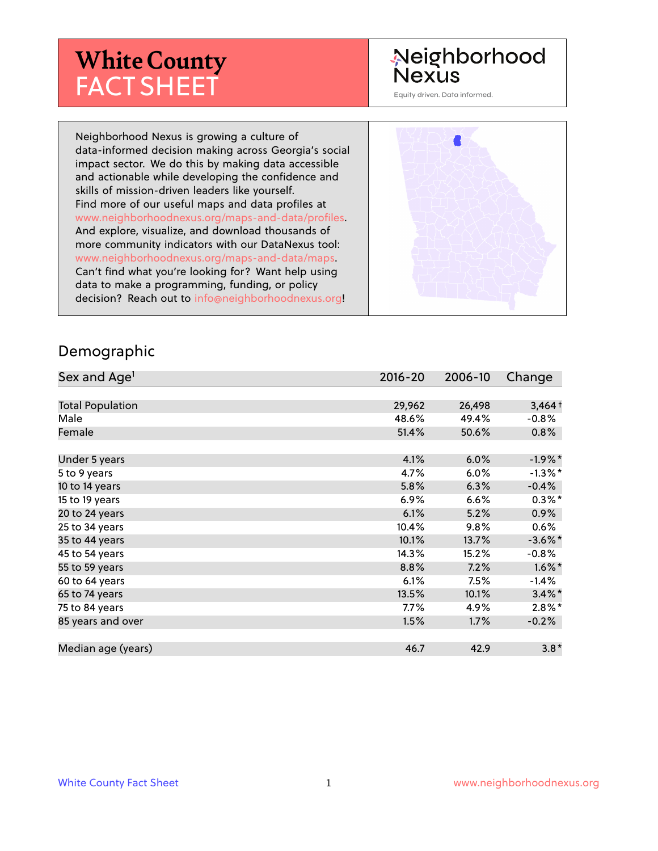# **White County** FACT SHEET

# Neighborhood Nexus

Equity driven. Data informed.

Neighborhood Nexus is growing a culture of data-informed decision making across Georgia's social impact sector. We do this by making data accessible and actionable while developing the confidence and skills of mission-driven leaders like yourself. Find more of our useful maps and data profiles at www.neighborhoodnexus.org/maps-and-data/profiles. And explore, visualize, and download thousands of more community indicators with our DataNexus tool: www.neighborhoodnexus.org/maps-and-data/maps. Can't find what you're looking for? Want help using data to make a programming, funding, or policy decision? Reach out to [info@neighborhoodnexus.org!](mailto:info@neighborhoodnexus.org)



#### Demographic

| Sex and Age <sup>1</sup> | $2016 - 20$ | 2006-10 | Change     |
|--------------------------|-------------|---------|------------|
|                          |             |         |            |
| <b>Total Population</b>  | 29,962      | 26,498  | $3,464+$   |
| Male                     | 48.6%       | 49.4%   | $-0.8%$    |
| Female                   | 51.4%       | 50.6%   | $0.8\%$    |
|                          |             |         |            |
| Under 5 years            | 4.1%        | 6.0%    | $-1.9%$ *  |
| 5 to 9 years             | 4.7%        | $6.0\%$ | $-1.3\%$ * |
| 10 to 14 years           | 5.8%        | 6.3%    | $-0.4%$    |
| 15 to 19 years           | 6.9%        | 6.6%    | $0.3\%$ *  |
| 20 to 24 years           | 6.1%        | 5.2%    | $0.9\%$    |
| 25 to 34 years           | 10.4%       | 9.8%    | 0.6%       |
| 35 to 44 years           | 10.1%       | 13.7%   | $-3.6\%$ * |
| 45 to 54 years           | 14.3%       | 15.2%   | $-0.8\%$   |
| 55 to 59 years           | 8.8%        | 7.2%    | $1.6\%$ *  |
| 60 to 64 years           | 6.1%        | 7.5%    | $-1.4%$    |
| 65 to 74 years           | 13.5%       | 10.1%   | $3.4\%$ *  |
| 75 to 84 years           | $7.7\%$     | 4.9%    | $2.8\%$ *  |
| 85 years and over        | 1.5%        | 1.7%    | $-0.2%$    |
|                          |             |         |            |
| Median age (years)       | 46.7        | 42.9    | $3.8*$     |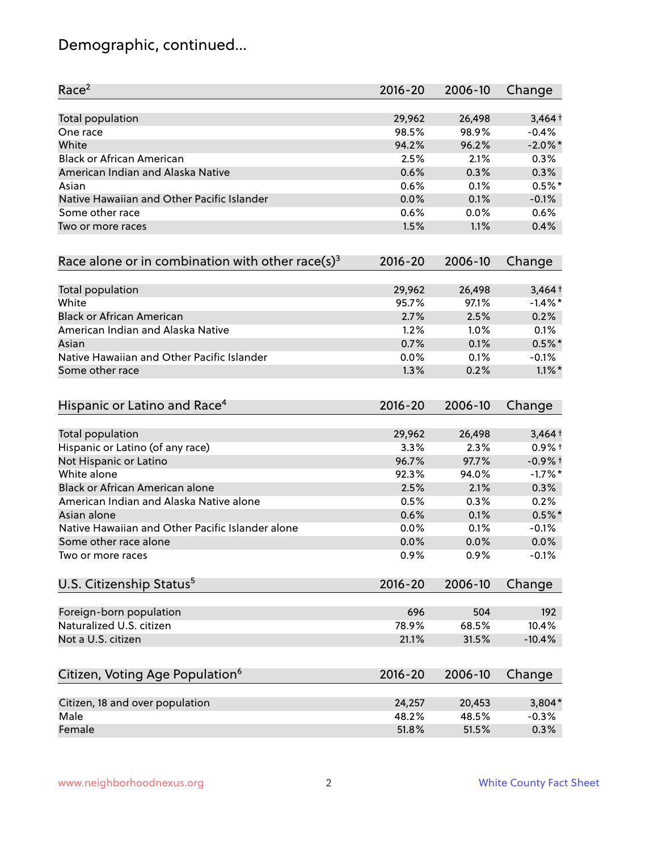# Demographic, continued...

| Race <sup>2</sup>                                            | $2016 - 20$ | 2006-10 | Change     |
|--------------------------------------------------------------|-------------|---------|------------|
| <b>Total population</b>                                      | 29,962      | 26,498  | $3,464+$   |
| One race                                                     | 98.5%       | 98.9%   | $-0.4%$    |
| White                                                        | 94.2%       | 96.2%   | $-2.0\%$ * |
| <b>Black or African American</b>                             | 2.5%        | 2.1%    | 0.3%       |
| American Indian and Alaska Native                            | 0.6%        | 0.3%    | 0.3%       |
| Asian                                                        | 0.6%        | 0.1%    | $0.5%$ *   |
| Native Hawaiian and Other Pacific Islander                   | 0.0%        | 0.1%    | $-0.1%$    |
| Some other race                                              | 0.6%        | 0.0%    | 0.6%       |
| Two or more races                                            | 1.5%        | 1.1%    | 0.4%       |
| Race alone or in combination with other race(s) <sup>3</sup> | $2016 - 20$ | 2006-10 | Change     |
| Total population                                             | 29,962      | 26,498  | $3,464+$   |
| White                                                        | 95.7%       | 97.1%   | $-1.4%$ *  |
| <b>Black or African American</b>                             | 2.7%        | 2.5%    | 0.2%       |
| American Indian and Alaska Native                            | 1.2%        | 1.0%    | 0.1%       |
| Asian                                                        | 0.7%        | 0.1%    | $0.5%$ *   |
| Native Hawaiian and Other Pacific Islander                   | 0.0%        | 0.1%    | $-0.1%$    |
| Some other race                                              | 1.3%        | 0.2%    | $1.1\%$ *  |
| Hispanic or Latino and Race <sup>4</sup>                     | $2016 - 20$ | 2006-10 | Change     |
| Total population                                             | 29,962      | 26,498  | $3,464+$   |
| Hispanic or Latino (of any race)                             | 3.3%        | 2.3%    | $0.9%$ +   |
| Not Hispanic or Latino                                       | 96.7%       | 97.7%   | $-0.9%$ †  |
| White alone                                                  | 92.3%       | 94.0%   | $-1.7%$ *  |
| Black or African American alone                              | 2.5%        | 2.1%    | 0.3%       |
| American Indian and Alaska Native alone                      | 0.5%        | 0.3%    | 0.2%       |
| Asian alone                                                  | 0.6%        | 0.1%    | $0.5%$ *   |
| Native Hawaiian and Other Pacific Islander alone             | 0.0%        | 0.1%    | $-0.1%$    |
| Some other race alone                                        | 0.0%        | 0.0%    | 0.0%       |
| Two or more races                                            | 0.9%        | 0.9%    | $-0.1%$    |
| U.S. Citizenship Status <sup>5</sup>                         | $2016 - 20$ | 2006-10 | Change     |
| Foreign-born population                                      | 696         | 504     | 192        |
| Naturalized U.S. citizen                                     | 78.9%       | 68.5%   | 10.4%      |
| Not a U.S. citizen                                           | 21.1%       | 31.5%   | $-10.4%$   |
| Citizen, Voting Age Population <sup>6</sup>                  | $2016 - 20$ | 2006-10 | Change     |
|                                                              |             |         |            |
| Citizen, 18 and over population                              | 24,257      | 20,453  | $3,804*$   |
| Male                                                         | 48.2%       | 48.5%   | $-0.3%$    |
| Female                                                       | 51.8%       | 51.5%   | 0.3%       |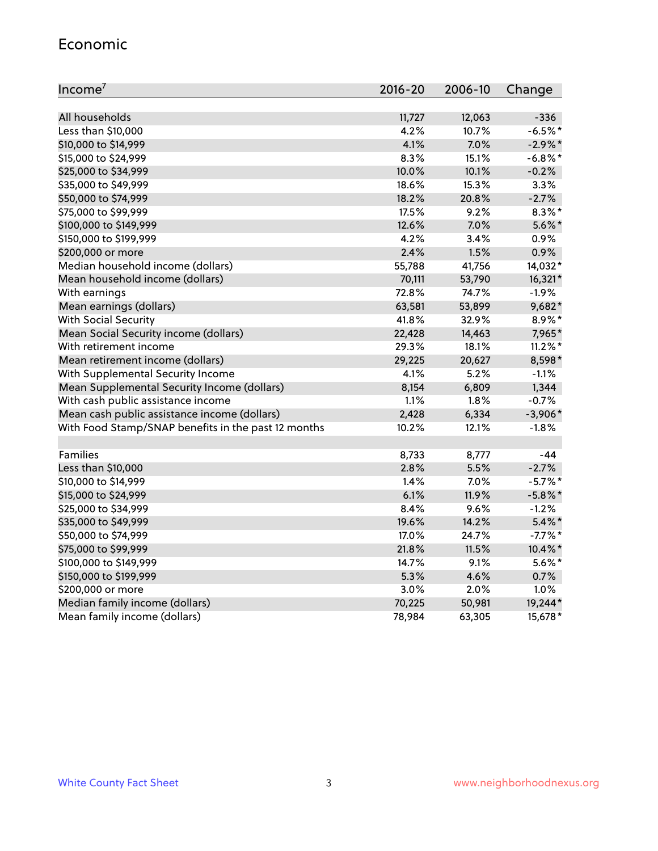#### Economic

| Income <sup>7</sup>                                 | $2016 - 20$ | 2006-10 | Change     |
|-----------------------------------------------------|-------------|---------|------------|
|                                                     |             |         |            |
| All households                                      | 11,727      | 12,063  | $-336$     |
| Less than \$10,000                                  | 4.2%        | 10.7%   | $-6.5%$ *  |
| \$10,000 to \$14,999                                | 4.1%        | 7.0%    | $-2.9\%$ * |
| \$15,000 to \$24,999                                | 8.3%        | 15.1%   | $-6.8\%$ * |
| \$25,000 to \$34,999                                | 10.0%       | 10.1%   | $-0.2%$    |
| \$35,000 to \$49,999                                | 18.6%       | 15.3%   | 3.3%       |
| \$50,000 to \$74,999                                | 18.2%       | 20.8%   | $-2.7%$    |
| \$75,000 to \$99,999                                | 17.5%       | 9.2%    | $8.3\%$ *  |
| \$100,000 to \$149,999                              | 12.6%       | 7.0%    | $5.6\%$ *  |
| \$150,000 to \$199,999                              | 4.2%        | 3.4%    | $0.9\%$    |
| \$200,000 or more                                   | 2.4%        | 1.5%    | 0.9%       |
| Median household income (dollars)                   | 55,788      | 41,756  | 14,032*    |
| Mean household income (dollars)                     | 70,111      | 53,790  | 16,321*    |
| With earnings                                       | 72.8%       | 74.7%   | $-1.9%$    |
| Mean earnings (dollars)                             | 63,581      | 53,899  | 9,682*     |
| <b>With Social Security</b>                         | 41.8%       | 32.9%   | 8.9%*      |
| Mean Social Security income (dollars)               | 22,428      | 14,463  | 7,965*     |
| With retirement income                              | 29.3%       | 18.1%   | $11.2\%$ * |
| Mean retirement income (dollars)                    | 29,225      | 20,627  | 8,598*     |
| With Supplemental Security Income                   | 4.1%        | 5.2%    | $-1.1%$    |
| Mean Supplemental Security Income (dollars)         | 8,154       | 6,809   | 1,344      |
| With cash public assistance income                  | 1.1%        | 1.8%    | $-0.7%$    |
| Mean cash public assistance income (dollars)        | 2,428       | 6,334   | $-3,906*$  |
| With Food Stamp/SNAP benefits in the past 12 months | 10.2%       | 12.1%   | $-1.8%$    |
|                                                     |             |         |            |
| Families                                            | 8,733       | 8,777   | -44        |
| Less than \$10,000                                  | 2.8%        | 5.5%    | $-2.7%$    |
| \$10,000 to \$14,999                                | 1.4%        | 7.0%    | $-5.7%$ *  |
| \$15,000 to \$24,999                                | 6.1%        | 11.9%   | $-5.8\%$ * |
| \$25,000 to \$34,999                                | 8.4%        | 9.6%    | $-1.2%$    |
| \$35,000 to \$49,999                                | 19.6%       | 14.2%   | $5.4\%$ *  |
| \$50,000 to \$74,999                                | 17.0%       | 24.7%   | $-7.7\%$ * |
| \$75,000 to \$99,999                                | 21.8%       | 11.5%   | 10.4%*     |
| \$100,000 to \$149,999                              | 14.7%       | $9.1\%$ | $5.6\%$ *  |
| \$150,000 to \$199,999                              | 5.3%        | 4.6%    | 0.7%       |
| \$200,000 or more                                   | 3.0%        | 2.0%    | 1.0%       |
| Median family income (dollars)                      | 70,225      | 50,981  | 19,244*    |
| Mean family income (dollars)                        | 78,984      | 63,305  | 15,678 *   |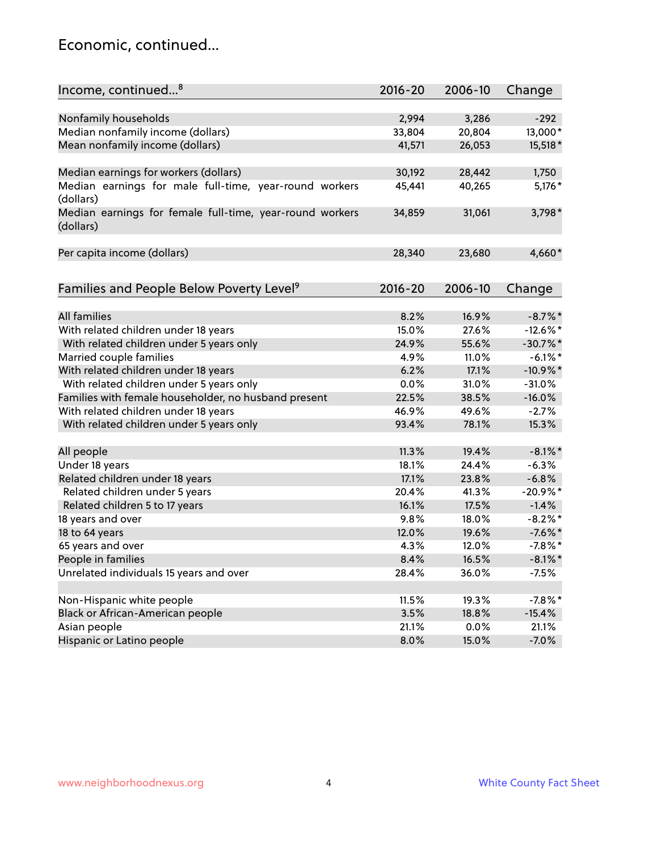#### Economic, continued...

| Income, continued <sup>8</sup>                           | $2016 - 20$ | 2006-10 | Change      |
|----------------------------------------------------------|-------------|---------|-------------|
|                                                          |             |         |             |
| Nonfamily households                                     | 2,994       | 3,286   | $-292$      |
| Median nonfamily income (dollars)                        | 33,804      | 20,804  | 13,000*     |
| Mean nonfamily income (dollars)                          | 41,571      | 26,053  | 15,518 *    |
|                                                          |             |         |             |
| Median earnings for workers (dollars)                    | 30,192      | 28,442  | 1,750       |
| Median earnings for male full-time, year-round workers   | 45,441      | 40,265  | 5,176*      |
| (dollars)                                                |             |         |             |
| Median earnings for female full-time, year-round workers | 34,859      | 31,061  | 3,798*      |
| (dollars)                                                |             |         |             |
|                                                          |             |         |             |
| Per capita income (dollars)                              | 28,340      | 23,680  | 4,660*      |
|                                                          |             |         |             |
|                                                          | $2016 - 20$ | 2006-10 |             |
| Families and People Below Poverty Level <sup>9</sup>     |             |         | Change      |
| <b>All families</b>                                      | 8.2%        | 16.9%   | $-8.7\%$ *  |
| With related children under 18 years                     | 15.0%       | 27.6%   | $-12.6\%$ * |
| With related children under 5 years only                 | 24.9%       | 55.6%   | $-30.7%$ *  |
| Married couple families                                  | 4.9%        | 11.0%   | $-6.1\%$ *  |
| With related children under 18 years                     | 6.2%        | 17.1%   | $-10.9\%$ * |
| With related children under 5 years only                 | 0.0%        | 31.0%   | $-31.0%$    |
| Families with female householder, no husband present     | 22.5%       | 38.5%   | $-16.0%$    |
| With related children under 18 years                     | 46.9%       | 49.6%   | $-2.7%$     |
| With related children under 5 years only                 | 93.4%       | 78.1%   | 15.3%       |
|                                                          |             |         |             |
| All people                                               | 11.3%       | 19.4%   | $-8.1\%$ *  |
| Under 18 years                                           | 18.1%       | 24.4%   | $-6.3%$     |
| Related children under 18 years                          | 17.1%       | 23.8%   | $-6.8%$     |
| Related children under 5 years                           | 20.4%       | 41.3%   | $-20.9%$ *  |
| Related children 5 to 17 years                           | 16.1%       | 17.5%   | $-1.4%$     |
| 18 years and over                                        | 9.8%        | 18.0%   | $-8.2\%$ *  |
| 18 to 64 years                                           | 12.0%       | 19.6%   | $-7.6\%$ *  |
| 65 years and over                                        | 4.3%        | 12.0%   | $-7.8%$ *   |
| People in families                                       | 8.4%        | 16.5%   | $-8.1\%$ *  |
| Unrelated individuals 15 years and over                  | 28.4%       | 36.0%   | $-7.5%$     |
|                                                          |             |         |             |
| Non-Hispanic white people                                | 11.5%       | 19.3%   | $-7.8%$ *   |
| Black or African-American people                         | 3.5%        | 18.8%   | $-15.4%$    |
| Asian people                                             | 21.1%       | 0.0%    | 21.1%       |
| Hispanic or Latino people                                | 8.0%        | 15.0%   | $-7.0%$     |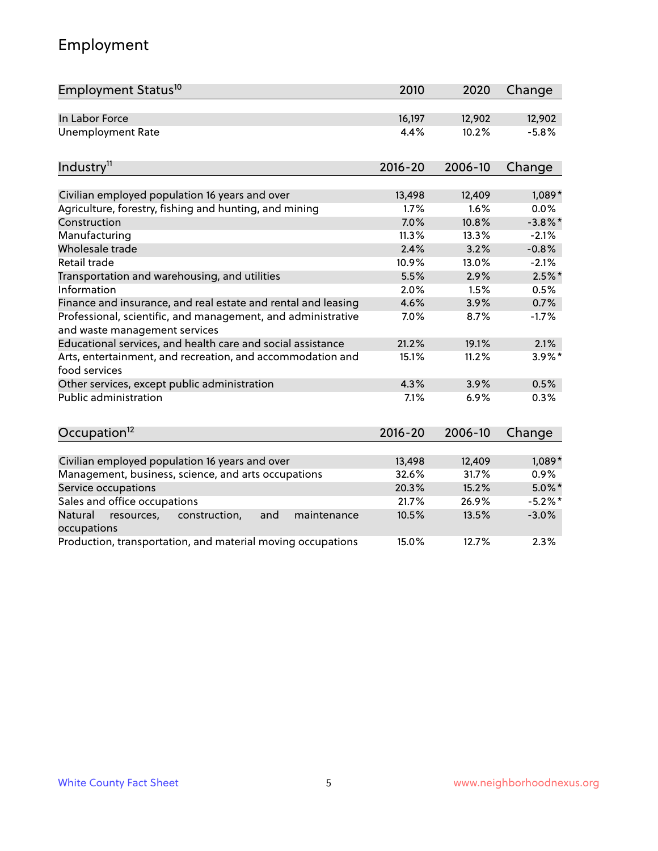# Employment

| Employment Status <sup>10</sup>                                                               | 2010        | 2020    | Change     |
|-----------------------------------------------------------------------------------------------|-------------|---------|------------|
| In Labor Force                                                                                | 16,197      | 12,902  | 12,902     |
| <b>Unemployment Rate</b>                                                                      | 4.4%        | 10.2%   | $-5.8%$    |
| Industry <sup>11</sup>                                                                        | $2016 - 20$ | 2006-10 | Change     |
| Civilian employed population 16 years and over                                                | 13,498      | 12,409  | 1,089*     |
| Agriculture, forestry, fishing and hunting, and mining                                        | 1.7%        | 1.6%    | 0.0%       |
| Construction                                                                                  | 7.0%        | 10.8%   | $-3.8\%$ * |
| Manufacturing                                                                                 | 11.3%       | 13.3%   | $-2.1%$    |
| Wholesale trade                                                                               | 2.4%        | 3.2%    | $-0.8%$    |
| Retail trade                                                                                  | 10.9%       | 13.0%   | $-2.1%$    |
| Transportation and warehousing, and utilities                                                 | 5.5%        | 2.9%    | $2.5\%$ *  |
| Information                                                                                   | 2.0%        | 1.5%    | 0.5%       |
| Finance and insurance, and real estate and rental and leasing                                 | 4.6%        | 3.9%    | 0.7%       |
| Professional, scientific, and management, and administrative<br>and waste management services | 7.0%        | 8.7%    | $-1.7%$    |
| Educational services, and health care and social assistance                                   | 21.2%       | 19.1%   | 2.1%       |
| Arts, entertainment, and recreation, and accommodation and<br>food services                   | 15.1%       | 11.2%   | 3.9%*      |
| Other services, except public administration                                                  | 4.3%        | 3.9%    | 0.5%       |
| <b>Public administration</b>                                                                  | 7.1%        | 6.9%    | 0.3%       |
| Occupation <sup>12</sup>                                                                      | $2016 - 20$ | 2006-10 | Change     |
|                                                                                               |             |         |            |
| Civilian employed population 16 years and over                                                | 13,498      | 12,409  | 1,089*     |
| Management, business, science, and arts occupations                                           | 32.6%       | 31.7%   | 0.9%       |
| Service occupations                                                                           | 20.3%       | 15.2%   | $5.0\%$ *  |
| Sales and office occupations                                                                  | 21.7%       | 26.9%   | $-5.2%$ *  |
| Natural<br>resources,<br>construction,<br>and<br>maintenance<br>occupations                   | 10.5%       | 13.5%   | $-3.0%$    |
| Production, transportation, and material moving occupations                                   | 15.0%       | 12.7%   | 2.3%       |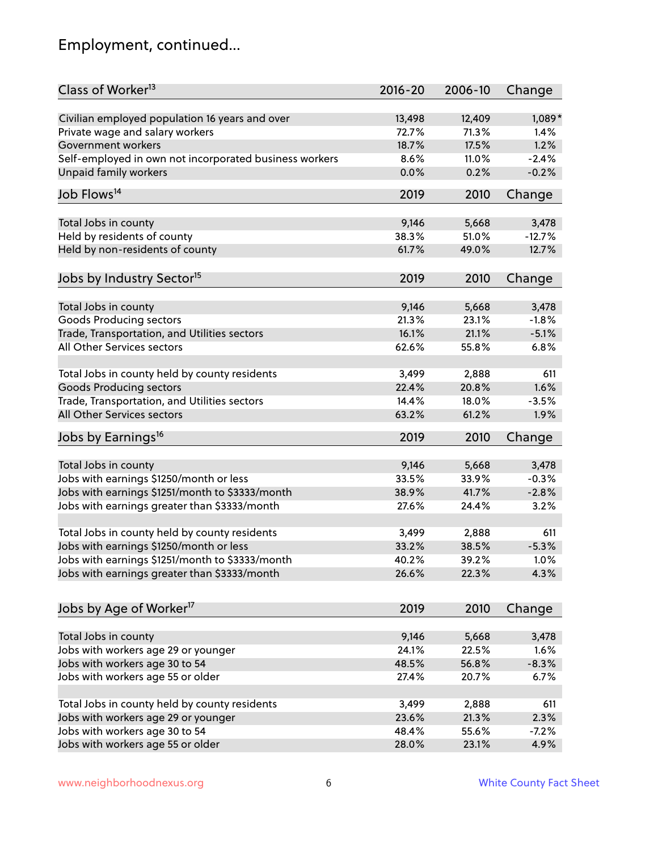# Employment, continued...

| Class of Worker <sup>13</sup>                          | $2016 - 20$ | 2006-10 | Change   |
|--------------------------------------------------------|-------------|---------|----------|
| Civilian employed population 16 years and over         | 13,498      | 12,409  | 1,089*   |
| Private wage and salary workers                        | 72.7%       | 71.3%   | 1.4%     |
| Government workers                                     | 18.7%       | 17.5%   | 1.2%     |
| Self-employed in own not incorporated business workers | 8.6%        | 11.0%   | $-2.4%$  |
| Unpaid family workers                                  | 0.0%        | 0.2%    | $-0.2%$  |
| Job Flows <sup>14</sup>                                | 2019        | 2010    | Change   |
| Total Jobs in county                                   | 9,146       | 5,668   | 3,478    |
| Held by residents of county                            | 38.3%       | 51.0%   | $-12.7%$ |
|                                                        | 61.7%       | 49.0%   | 12.7%    |
| Held by non-residents of county                        |             |         |          |
| Jobs by Industry Sector <sup>15</sup>                  | 2019        | 2010    | Change   |
| Total Jobs in county                                   | 9,146       | 5,668   | 3,478    |
| Goods Producing sectors                                | 21.3%       | 23.1%   | $-1.8%$  |
| Trade, Transportation, and Utilities sectors           | 16.1%       | 21.1%   | $-5.1%$  |
| All Other Services sectors                             | 62.6%       | 55.8%   | 6.8%     |
|                                                        |             |         |          |
| Total Jobs in county held by county residents          | 3,499       | 2,888   | 611      |
| <b>Goods Producing sectors</b>                         | 22.4%       | 20.8%   | 1.6%     |
| Trade, Transportation, and Utilities sectors           | 14.4%       | 18.0%   | $-3.5%$  |
| All Other Services sectors                             | 63.2%       | 61.2%   | 1.9%     |
| Jobs by Earnings <sup>16</sup>                         | 2019        | 2010    | Change   |
|                                                        |             |         |          |
| Total Jobs in county                                   | 9,146       | 5,668   | 3,478    |
| Jobs with earnings \$1250/month or less                | 33.5%       | 33.9%   | $-0.3%$  |
| Jobs with earnings \$1251/month to \$3333/month        | 38.9%       | 41.7%   | $-2.8%$  |
| Jobs with earnings greater than \$3333/month           | 27.6%       | 24.4%   | 3.2%     |
| Total Jobs in county held by county residents          | 3,499       | 2,888   | 611      |
| Jobs with earnings \$1250/month or less                | 33.2%       | 38.5%   | $-5.3%$  |
| Jobs with earnings \$1251/month to \$3333/month        | 40.2%       | 39.2%   | $1.0\%$  |
| Jobs with earnings greater than \$3333/month           | 26.6%       | 22.3%   | 4.3%     |
|                                                        |             |         |          |
| Jobs by Age of Worker <sup>17</sup>                    | 2019        | 2010    | Change   |
| Total Jobs in county                                   | 9,146       | 5,668   | 3,478    |
| Jobs with workers age 29 or younger                    | 24.1%       | 22.5%   | 1.6%     |
| Jobs with workers age 30 to 54                         | 48.5%       | 56.8%   | $-8.3%$  |
| Jobs with workers age 55 or older                      | 27.4%       | 20.7%   | 6.7%     |
|                                                        |             |         |          |
| Total Jobs in county held by county residents          | 3,499       | 2,888   | 611      |
| Jobs with workers age 29 or younger                    | 23.6%       | 21.3%   | 2.3%     |
| Jobs with workers age 30 to 54                         | 48.4%       | 55.6%   | $-7.2%$  |
| Jobs with workers age 55 or older                      | 28.0%       | 23.1%   | 4.9%     |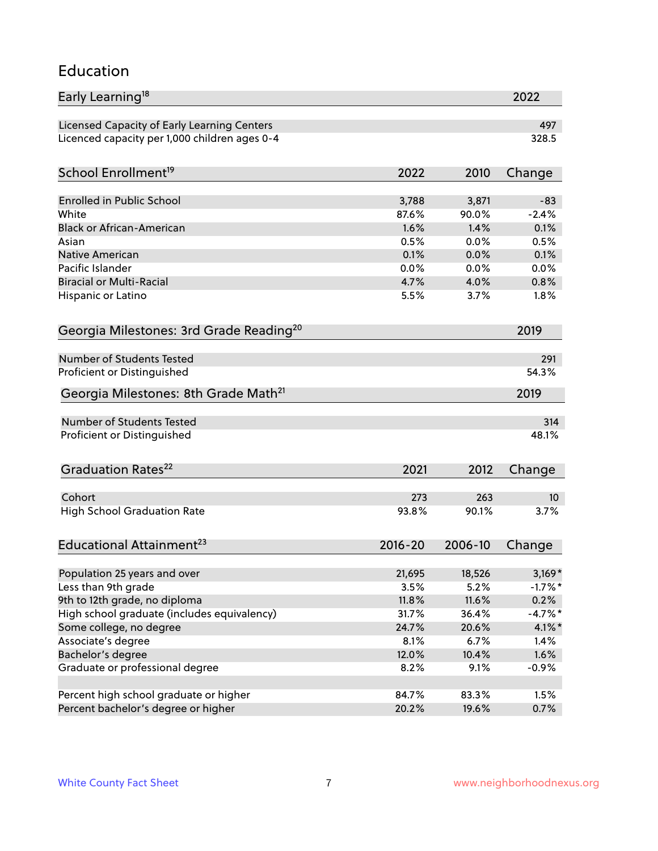#### Education

| Early Learning <sup>18</sup>                        |              |              | 2022         |
|-----------------------------------------------------|--------------|--------------|--------------|
| Licensed Capacity of Early Learning Centers         |              |              | 497          |
| Licenced capacity per 1,000 children ages 0-4       |              |              | 328.5        |
| School Enrollment <sup>19</sup>                     | 2022         | 2010         | Change       |
|                                                     |              |              |              |
| <b>Enrolled in Public School</b>                    | 3,788        | 3,871        | $-83$        |
| White<br><b>Black or African-American</b>           | 87.6%        | 90.0%        | $-2.4%$      |
|                                                     | 1.6%         | 1.4%         | 0.1%         |
| Asian                                               | 0.5%         | 0.0%         | 0.5%         |
| <b>Native American</b><br>Pacific Islander          | 0.1%<br>0.0% | 0.0%         | 0.1%         |
| <b>Biracial or Multi-Racial</b>                     | 4.7%         | 0.0%<br>4.0% | 0.0%<br>0.8% |
|                                                     |              |              |              |
| Hispanic or Latino                                  | 5.5%         | 3.7%         | 1.8%         |
| Georgia Milestones: 3rd Grade Reading <sup>20</sup> |              |              | 2019         |
| <b>Number of Students Tested</b>                    |              |              | 291          |
| Proficient or Distinguished                         |              |              | 54.3%        |
| Georgia Milestones: 8th Grade Math <sup>21</sup>    |              |              | 2019         |
|                                                     |              |              |              |
| Number of Students Tested                           |              |              | 314          |
| Proficient or Distinguished                         |              |              | 48.1%        |
| Graduation Rates <sup>22</sup>                      | 2021         | 2012         | Change       |
|                                                     |              |              |              |
| Cohort                                              | 273          | 263          | 10           |
| <b>High School Graduation Rate</b>                  | 93.8%        | 90.1%        | 3.7%         |
| Educational Attainment <sup>23</sup>                | $2016 - 20$  | 2006-10      | Change       |
| Population 25 years and over                        | 21,695       | 18,526       | $3,169*$     |
| Less than 9th grade                                 | 3.5%         | 5.2%         | $-1.7%$ *    |
| 9th to 12th grade, no diploma                       | 11.8%        | 11.6%        | 0.2%         |
| High school graduate (includes equivalency)         | 31.7%        | 36.4%        | $-4.7\%$ *   |
| Some college, no degree                             | 24.7%        | 20.6%        | $4.1\%$ *    |
| Associate's degree                                  | 8.1%         | 6.7%         | 1.4%         |
| Bachelor's degree                                   | 12.0%        | 10.4%        | 1.6%         |
|                                                     |              |              |              |
| Graduate or professional degree                     | 8.2%         | 9.1%         | $-0.9%$      |
| Percent high school graduate or higher              | 84.7%        | 83.3%        | 1.5%         |
| Percent bachelor's degree or higher                 | 20.2%        | 19.6%        | 0.7%         |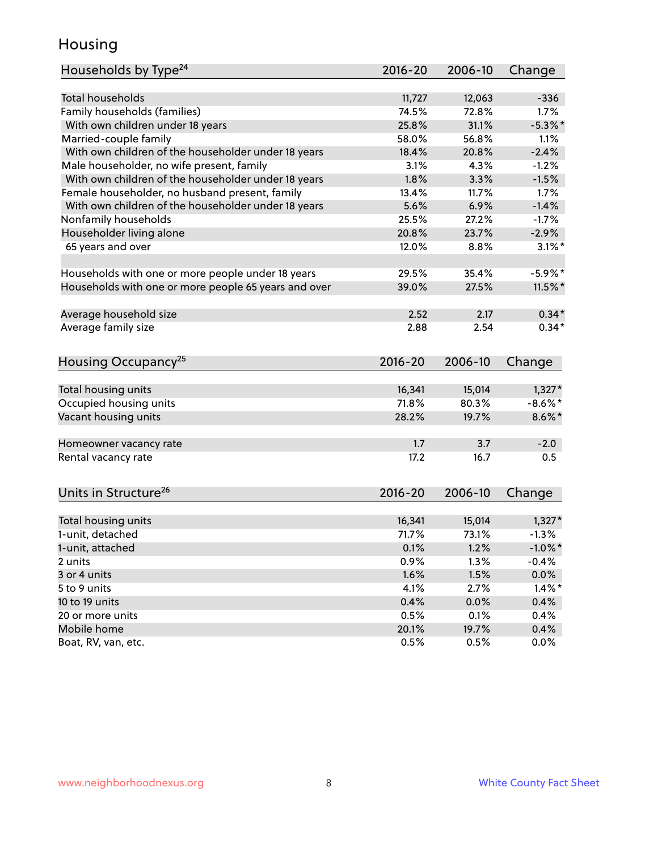#### Housing

| Households by Type <sup>24</sup>                     | 2016-20     | 2006-10       | Change     |
|------------------------------------------------------|-------------|---------------|------------|
|                                                      |             |               |            |
| <b>Total households</b>                              | 11,727      | 12,063        | $-336$     |
| Family households (families)                         | 74.5%       | 72.8%         | 1.7%       |
| With own children under 18 years                     | 25.8%       | 31.1%         | $-5.3\%$ * |
| Married-couple family                                | 58.0%       | 56.8%         | 1.1%       |
| With own children of the householder under 18 years  | 18.4%       | 20.8%         | $-2.4%$    |
| Male householder, no wife present, family            | 3.1%        | 4.3%          | $-1.2%$    |
| With own children of the householder under 18 years  | 1.8%        | 3.3%          | $-1.5%$    |
| Female householder, no husband present, family       | 13.4%       | 11.7%         | 1.7%       |
| With own children of the householder under 18 years  | 5.6%        | 6.9%          | $-1.4%$    |
| Nonfamily households                                 | 25.5%       | 27.2%         | $-1.7%$    |
| Householder living alone                             | 20.8%       | 23.7%         | $-2.9%$    |
| 65 years and over                                    | 12.0%       | 8.8%          | $3.1\%$ *  |
| Households with one or more people under 18 years    | 29.5%       | 35.4%         | $-5.9\%$ * |
| Households with one or more people 65 years and over | 39.0%       | 27.5%         | $11.5\%$ * |
|                                                      |             |               |            |
| Average household size                               | 2.52        | 2.17          | $0.34*$    |
| Average family size                                  | 2.88        | 2.54          | $0.34*$    |
| Housing Occupancy <sup>25</sup>                      | $2016 - 20$ | 2006-10       | Change     |
|                                                      |             |               |            |
| Total housing units                                  | 16,341      | 15,014        | $1,327*$   |
| Occupied housing units                               | 71.8%       | 80.3%         | $-8.6\%$ * |
| Vacant housing units                                 | 28.2%       | 19.7%         | $8.6\%$ *  |
| Homeowner vacancy rate                               | 1.7         | 3.7           | $-2.0$     |
| Rental vacancy rate                                  | 17.2        | 16.7          | 0.5        |
|                                                      |             |               |            |
| Units in Structure <sup>26</sup>                     | $2016 - 20$ | 2006-10       | Change     |
| Total housing units                                  | 16,341      | 15,014        | $1,327*$   |
| 1-unit, detached                                     | 71.7%       | 73.1%         | $-1.3%$    |
| 1-unit, attached                                     | 0.1%        | 1.2%          | $-1.0\%$ * |
| 2 units                                              | 0.9%        | 1.3%          | $-0.4%$    |
| 3 or 4 units                                         | 1.6%        | 1.5%          | 0.0%       |
|                                                      | 4.1%        | 2.7%          | $1.4\%$ *  |
| 5 to 9 units<br>10 to 19 units                       | 0.4%        | 0.0%          | 0.4%       |
|                                                      | 0.5%        |               | 0.4%       |
| 20 or more units<br>Mobile home                      | 20.1%       | 0.1%<br>19.7% | 0.4%       |
| Boat, RV, van, etc.                                  | 0.5%        | 0.5%          | 0.0%       |
|                                                      |             |               |            |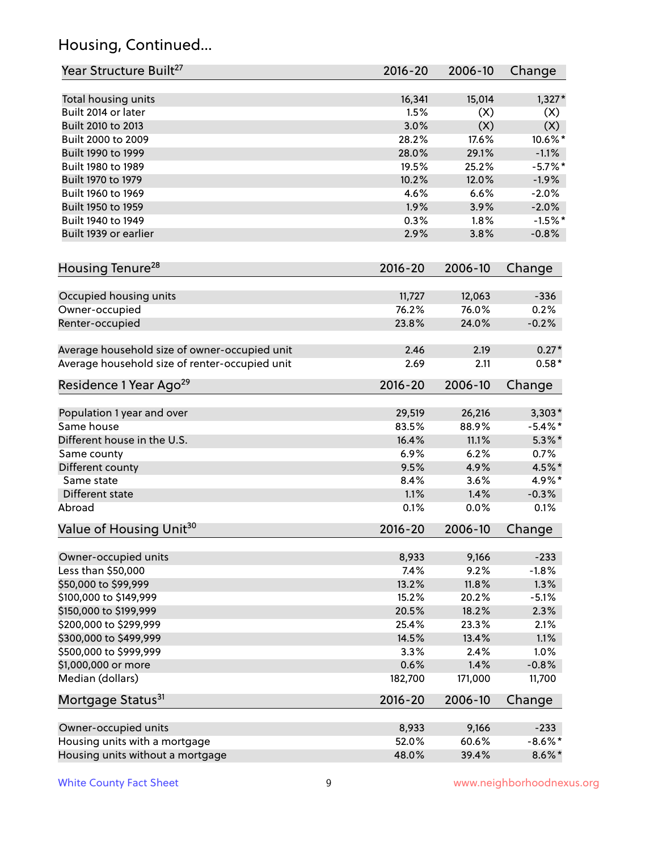# Housing, Continued...

| Year Structure Built <sup>27</sup>             | 2016-20         | 2006-10         | Change         |
|------------------------------------------------|-----------------|-----------------|----------------|
| Total housing units                            | 16,341          | 15,014          | $1,327*$       |
| Built 2014 or later                            | 1.5%            | (X)             | (X)            |
| Built 2010 to 2013                             | 3.0%            | (X)             | (X)            |
| Built 2000 to 2009                             | 28.2%           | 17.6%           | 10.6%*         |
| Built 1990 to 1999                             | 28.0%           | 29.1%           | $-1.1%$        |
| Built 1980 to 1989                             | 19.5%           | 25.2%           | $-5.7\%$ *     |
| Built 1970 to 1979                             | 10.2%           | 12.0%           | $-1.9%$        |
| Built 1960 to 1969                             | 4.6%            | 6.6%            | $-2.0%$        |
| Built 1950 to 1959                             | 1.9%            | 3.9%            | $-2.0%$        |
| Built 1940 to 1949                             | 0.3%            | 1.8%            | $-1.5%$ *      |
| Built 1939 or earlier                          | 2.9%            | 3.8%            | $-0.8%$        |
| Housing Tenure <sup>28</sup>                   | $2016 - 20$     | 2006-10         | Change         |
|                                                |                 |                 |                |
| Occupied housing units<br>Owner-occupied       | 11,727<br>76.2% | 12,063<br>76.0% | $-336$<br>0.2% |
| Renter-occupied                                | 23.8%           | 24.0%           | $-0.2%$        |
|                                                |                 |                 |                |
| Average household size of owner-occupied unit  | 2.46            | 2.19            | $0.27*$        |
| Average household size of renter-occupied unit | 2.69            | 2.11            | $0.58*$        |
| Residence 1 Year Ago <sup>29</sup>             | $2016 - 20$     | 2006-10         | Change         |
|                                                |                 |                 |                |
| Population 1 year and over<br>Same house       | 29,519          | 26,216          | $3,303*$       |
|                                                | 83.5%           | 88.9%           | $-5.4\%$ *     |
| Different house in the U.S.                    | 16.4%           | 11.1%           | $5.3\%$ *      |
| Same county                                    | 6.9%            | 6.2%            | 0.7%           |
| Different county<br>Same state                 | 9.5%<br>8.4%    | 4.9%<br>3.6%    | 4.5%*<br>4.9%* |
|                                                | 1.1%            | 1.4%            |                |
| Different state                                |                 |                 | $-0.3%$        |
| Abroad                                         | 0.1%            | 0.0%            | 0.1%           |
| Value of Housing Unit <sup>30</sup>            | $2016 - 20$     | 2006-10         | Change         |
| Owner-occupied units                           | 8,933           | 9,166           | $-233$         |
| Less than \$50,000                             | 7.4%            | 9.2%            | $-1.8%$        |
| \$50,000 to \$99,999                           | 13.2%           | 11.8%           | 1.3%           |
| \$100,000 to \$149,999                         | 15.2%           | 20.2%           | $-5.1%$        |
| \$150,000 to \$199,999                         | 20.5%           | 18.2%           | 2.3%           |
| \$200,000 to \$299,999                         | 25.4%           | 23.3%           | 2.1%           |
| \$300,000 to \$499,999                         | 14.5%           | 13.4%           | 1.1%           |
| \$500,000 to \$999,999                         | 3.3%            | 2.4%            | 1.0%           |
| \$1,000,000 or more                            | 0.6%            | 1.4%            | $-0.8%$        |
| Median (dollars)                               | 182,700         | 171,000         | 11,700         |
| Mortgage Status <sup>31</sup>                  | $2016 - 20$     | 2006-10         | Change         |
|                                                |                 |                 |                |
| Owner-occupied units                           | 8,933           | 9,166           | $-233$         |
| Housing units with a mortgage                  | 52.0%           | 60.6%           | $-8.6\%$ *     |
| Housing units without a mortgage               | 48.0%           | 39.4%           | $8.6\%$ *      |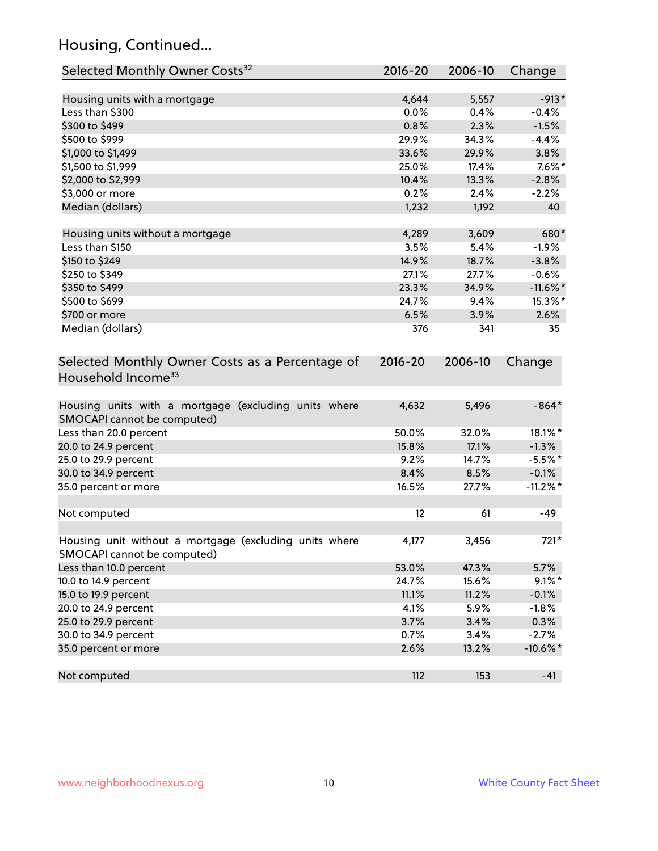# Housing, Continued...

| Selected Monthly Owner Costs <sup>32</sup>                                            | $2016 - 20$ | 2006-10 | Change      |
|---------------------------------------------------------------------------------------|-------------|---------|-------------|
| Housing units with a mortgage                                                         | 4,644       | 5,557   | $-913*$     |
| Less than \$300                                                                       | 0.0%        | 0.4%    | $-0.4%$     |
| \$300 to \$499                                                                        | 0.8%        | 2.3%    | $-1.5%$     |
| \$500 to \$999                                                                        | 29.9%       | 34.3%   | $-4.4%$     |
| \$1,000 to \$1,499                                                                    | 33.6%       | 29.9%   | 3.8%        |
| \$1,500 to \$1,999                                                                    | 25.0%       | 17.4%   | $7.6\%$ *   |
| \$2,000 to \$2,999                                                                    | 10.4%       | 13.3%   | $-2.8%$     |
| \$3,000 or more                                                                       | 0.2%        | 2.4%    | $-2.2%$     |
| Median (dollars)                                                                      | 1,232       | 1,192   | 40          |
| Housing units without a mortgage                                                      | 4,289       | 3,609   | 680*        |
| Less than \$150                                                                       | 3.5%        | 5.4%    | $-1.9%$     |
| \$150 to \$249                                                                        | 14.9%       | 18.7%   | $-3.8%$     |
| \$250 to \$349                                                                        | 27.1%       | 27.7%   | $-0.6%$     |
| \$350 to \$499                                                                        | 23.3%       | 34.9%   | $-11.6\%$ * |
| \$500 to \$699                                                                        | 24.7%       | 9.4%    | 15.3%*      |
| \$700 or more                                                                         | 6.5%        | 3.9%    | 2.6%        |
| Median (dollars)                                                                      | 376         | 341     | 35          |
| Selected Monthly Owner Costs as a Percentage of<br>Household Income <sup>33</sup>     | $2016 - 20$ | 2006-10 | Change      |
| Housing units with a mortgage (excluding units where<br>SMOCAPI cannot be computed)   | 4,632       | 5,496   | $-864*$     |
| Less than 20.0 percent                                                                | 50.0%       | 32.0%   | 18.1%*      |
| 20.0 to 24.9 percent                                                                  | 15.8%       | 17.1%   | $-1.3%$     |
| 25.0 to 29.9 percent                                                                  | 9.2%        | 14.7%   | $-5.5%$ *   |
| 30.0 to 34.9 percent                                                                  | 8.4%        | 8.5%    | $-0.1%$     |
| 35.0 percent or more                                                                  | 16.5%       | 27.7%   | $-11.2\%$ * |
| Not computed                                                                          | 12          | 61      | $-49$       |
| Housing unit without a mortgage (excluding units where<br>SMOCAPI cannot be computed) | 4,177       | 3,456   | 721*        |
| Less than 10.0 percent                                                                | 53.0%       | 47.3%   | 5.7%        |
| 10.0 to 14.9 percent                                                                  | 24.7%       | 15.6%   | $9.1\%$ *   |
| 15.0 to 19.9 percent                                                                  | 11.1%       | 11.2%   | $-0.1%$     |
| 20.0 to 24.9 percent                                                                  | 4.1%        | 5.9%    | $-1.8%$     |
| 25.0 to 29.9 percent                                                                  | 3.7%        | 3.4%    | 0.3%        |
| 30.0 to 34.9 percent                                                                  | 0.7%        | 3.4%    | $-2.7%$     |
| 35.0 percent or more                                                                  | 2.6%        | 13.2%   | $-10.6\%$ * |
| Not computed                                                                          | 112         | 153     | $-41$       |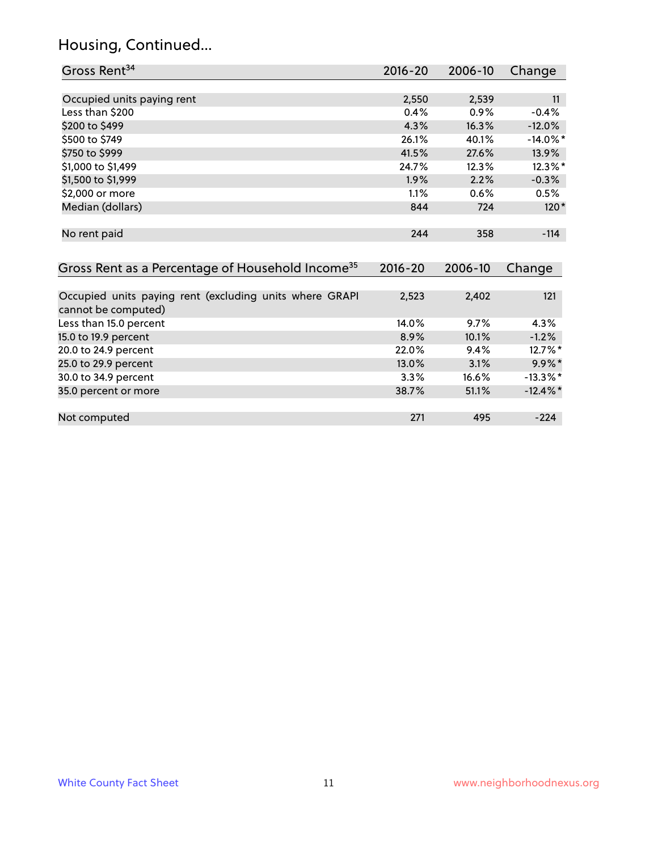# Housing, Continued...

| Gross Rent <sup>34</sup>                                                       | $2016 - 20$ | 2006-10 | Change      |
|--------------------------------------------------------------------------------|-------------|---------|-------------|
|                                                                                |             |         |             |
| Occupied units paying rent                                                     | 2,550       | 2,539   | 11          |
| Less than \$200                                                                | 0.4%        | 0.9%    | $-0.4%$     |
| \$200 to \$499                                                                 | 4.3%        | 16.3%   | $-12.0%$    |
| \$500 to \$749                                                                 | 26.1%       | 40.1%   | $-14.0\%$ * |
| \$750 to \$999                                                                 | 41.5%       | 27.6%   | 13.9%       |
| \$1,000 to \$1,499                                                             | 24.7%       | 12.3%   | 12.3%*      |
| \$1,500 to \$1,999                                                             | 1.9%        | 2.2%    | $-0.3%$     |
| \$2,000 or more                                                                | 1.1%        | 0.6%    | 0.5%        |
| Median (dollars)                                                               | 844         | 724     | $120*$      |
| No rent paid                                                                   | 244         | 358     | $-114$      |
| Gross Rent as a Percentage of Household Income <sup>35</sup>                   | $2016 - 20$ | 2006-10 | Change      |
| Occupied units paying rent (excluding units where GRAPI<br>cannot be computed) | 2,523       | 2,402   | 121         |
| Less than 15.0 percent                                                         | 14.0%       | 9.7%    | 4.3%        |
| 15.0 to 19.9 percent                                                           | 8.9%        | 10.1%   | $-1.2%$     |
| 20.0 to 24.9 percent                                                           | 22.0%       | 9.4%    | 12.7%*      |
| 25.0 to 29.9 percent                                                           | 13.0%       | 3.1%    | $9.9\%*$    |
| 30.0 to 34.9 percent                                                           | 3.3%        | 16.6%   | $-13.3\%$ * |
| 35.0 percent or more                                                           | 38.7%       | 51.1%   | $-12.4\%$ * |
| Not computed                                                                   | 271         | 495     | $-224$      |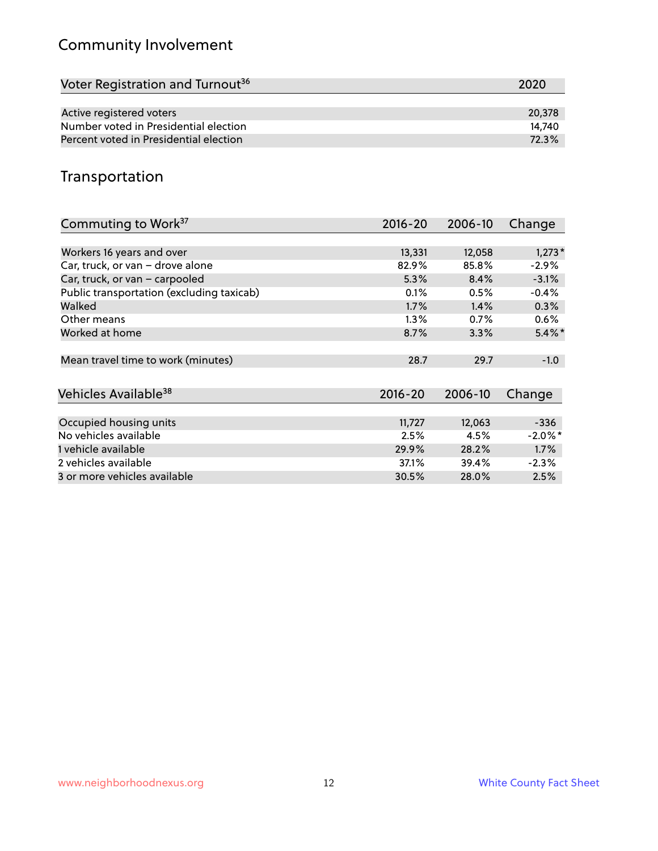# Community Involvement

| Voter Registration and Turnout <sup>36</sup> | 2020   |
|----------------------------------------------|--------|
|                                              |        |
| Active registered voters                     | 20,378 |
| Number voted in Presidential election        | 14.740 |
| Percent voted in Presidential election       | 72.3%  |

#### Transportation

| Commuting to Work <sup>37</sup>           | 2016-20     | 2006-10 | Change     |
|-------------------------------------------|-------------|---------|------------|
|                                           |             |         |            |
| Workers 16 years and over                 | 13,331      | 12,058  | $1,273*$   |
| Car, truck, or van - drove alone          | 82.9%       | 85.8%   | $-2.9%$    |
| Car, truck, or van - carpooled            | 5.3%        | 8.4%    | $-3.1%$    |
| Public transportation (excluding taxicab) | 0.1%        | 0.5%    | $-0.4%$    |
| Walked                                    | 1.7%        | 1.4%    | 0.3%       |
| Other means                               | $1.3\%$     | 0.7%    | $0.6\%$    |
| Worked at home                            | 8.7%        | 3.3%    | $5.4\%$ *  |
|                                           |             |         |            |
| Mean travel time to work (minutes)        | 28.7        | 29.7    | $-1.0$     |
|                                           |             |         |            |
| Vehicles Available <sup>38</sup>          | $2016 - 20$ | 2006-10 | Change     |
|                                           |             |         |            |
| Occupied housing units                    | 11,727      | 12,063  | $-336$     |
| No vehicles available                     | 2.5%        | 4.5%    | $-2.0\%$ * |
| 1 vehicle available                       | 29.9%       | 28.2%   | 1.7%       |
| 2 vehicles available                      | 37.1%       | 39.4%   | $-2.3%$    |
| 3 or more vehicles available              | 30.5%       | 28.0%   | 2.5%       |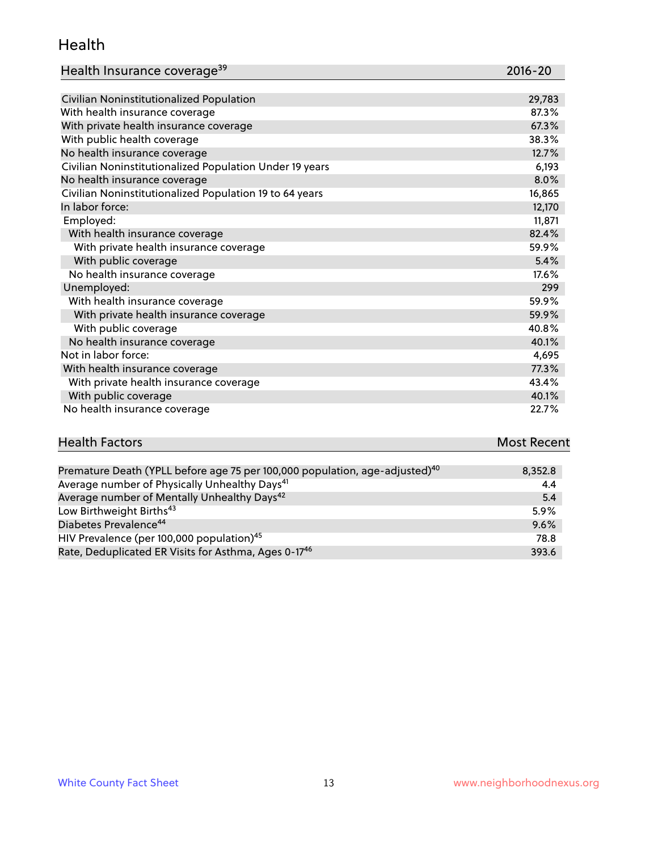#### Health

| Health Insurance coverage <sup>39</sup> | 2016-20 |
|-----------------------------------------|---------|
|-----------------------------------------|---------|

| Civilian Noninstitutionalized Population                | 29,783 |
|---------------------------------------------------------|--------|
| With health insurance coverage                          | 87.3%  |
| With private health insurance coverage                  | 67.3%  |
| With public health coverage                             | 38.3%  |
| No health insurance coverage                            | 12.7%  |
| Civilian Noninstitutionalized Population Under 19 years | 6,193  |
| No health insurance coverage                            | 8.0%   |
| Civilian Noninstitutionalized Population 19 to 64 years | 16,865 |
| In labor force:                                         | 12,170 |
| Employed:                                               | 11,871 |
| With health insurance coverage                          | 82.4%  |
| With private health insurance coverage                  | 59.9%  |
| With public coverage                                    | 5.4%   |
| No health insurance coverage                            | 17.6%  |
| Unemployed:                                             | 299    |
| With health insurance coverage                          | 59.9%  |
| With private health insurance coverage                  | 59.9%  |
| With public coverage                                    | 40.8%  |
| No health insurance coverage                            | 40.1%  |
| Not in labor force:                                     | 4,695  |
| With health insurance coverage                          | 77.3%  |
| With private health insurance coverage                  | 43.4%  |
| With public coverage                                    | 40.1%  |
| No health insurance coverage                            | 22.7%  |

# **Health Factors Most Recent** And The Control of the Control of The Control of The Control of The Control of The Control of The Control of The Control of The Control of The Control of The Control of The Control of The Contr

| Premature Death (YPLL before age 75 per 100,000 population, age-adjusted) <sup>40</sup> | 8,352.8 |
|-----------------------------------------------------------------------------------------|---------|
| Average number of Physically Unhealthy Days <sup>41</sup>                               | 4.4     |
| Average number of Mentally Unhealthy Days <sup>42</sup>                                 | 5.4     |
| Low Birthweight Births <sup>43</sup>                                                    | 5.9%    |
| Diabetes Prevalence <sup>44</sup>                                                       | 9.6%    |
| HIV Prevalence (per 100,000 population) <sup>45</sup>                                   | 78.8    |
| Rate, Deduplicated ER Visits for Asthma, Ages 0-17 <sup>46</sup>                        | 393.6   |